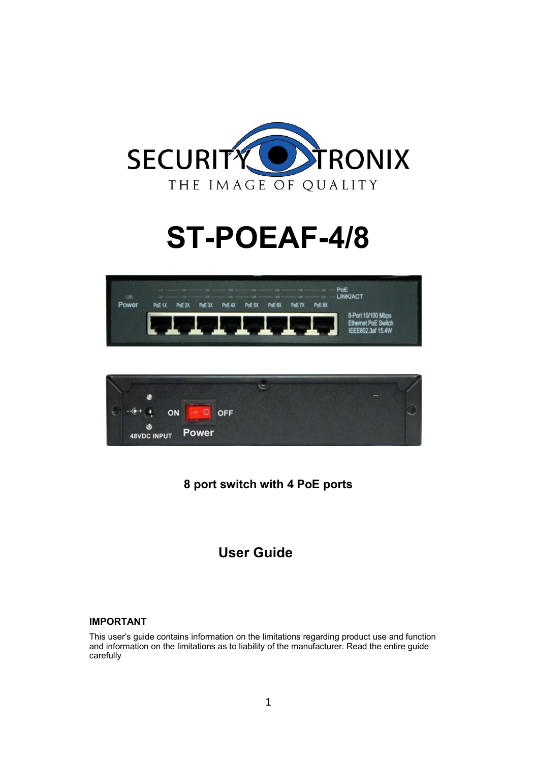

# **ST-POEAF-4/8**





## **8 port switch with 4 PoE ports**

## **User Guide**

## **IMPORTANT**

This user's guide contains information on the limitations regarding product use and function and information on the limitations as to liability of the manufacturer. Read the entire guide carefully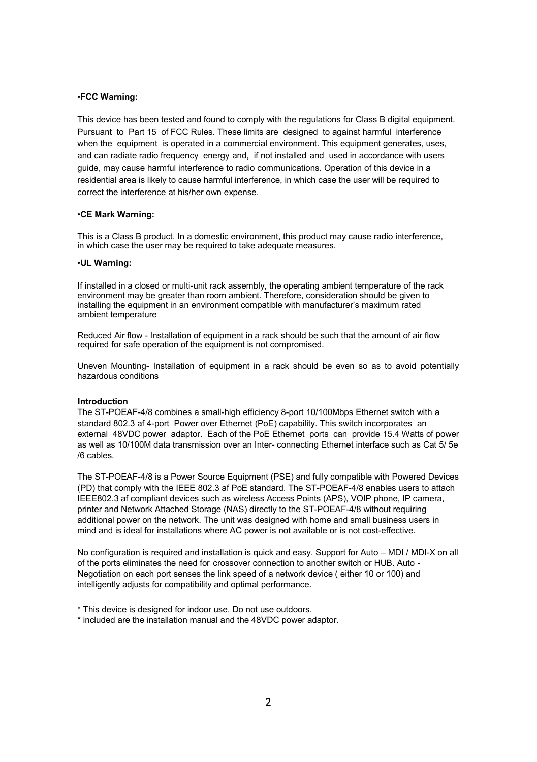## •**FCC Warning:**

This device has been tested and found to comply with the regulations for Class B digital equipment. Pursuant to Part 15 of FCC Rules. These limits are designed to against harmful interference when the equipment is operated in a commercial environment. This equipment generates, uses, and can radiate radio frequency energy and, if not installed and used in accordance with users guide, may cause harmful interference to radio communications. Operation of this device in a residential area is likely to cause harmful interference, in which case the user will be required to correct the interference at his/her own expense.

#### •**CE Mark Warning:**

This is a Class B product. In a domestic environment, this product may cause radio interference, in which case the user may be required to take adequate measures.

#### •**UL Warning:**

If installed in a closed or multi-unit rack assembly, the operating ambient temperature of the rack environment may be greater than room ambient. Therefore, consideration should be given to installing the equipment in an environment compatible with manufacturer's maximum rated ambient temperature

Reduced Air flow - Installation of equipment in a rack should be such that the amount of air flow required for safe operation of the equipment is not compromised.

Uneven Mounting- Installation of equipment in a rack should be even so as to avoid potentially hazardous conditions

## **Introduction**

The ST-POEAF-4/8 combines a small-high efficiency 8-port 10/100Mbps Ethernet switch with a standard 802.3 af 4-port Power over Ethernet (PoE) capability. This switch incorporates an external 48VDC power adaptor. Each of the PoE Ethernet ports can provide 15.4 Watts of power as well as 10/100M data transmission over an Inter- connecting Ethernet interface such as Cat 5/ 5e /6 cables.

The ST-POEAF-4/8 is a Power Source Equipment (PSE) and fully compatible with Powered Devices (PD) that comply with the IEEE 802.3 af PoE standard. The ST-POEAF-4/8 enables users to attach IEEE802.3 af compliant devices such as wireless Access Points (APS), VOIP phone, IP camera, printer and Network Attached Storage (NAS) directly to the ST-POEAF-4/8 without requiring additional power on the network. The unit was designed with home and small business users in mind and is ideal for installations where AC power is not available or is not cost-effective.

No configuration is required and installation is quick and easy. Support for Auto – MDI / MDI-X on all of the ports eliminates the need for crossover connection to another switch or HUB. Auto - Negotiation on each port senses the link speed of a network device ( either 10 or 100) and intelligently adjusts for compatibility and optimal performance.

\* included are the installation manual and the 48VDC power adaptor.

<sup>\*</sup> This device is designed for indoor use. Do not use outdoors.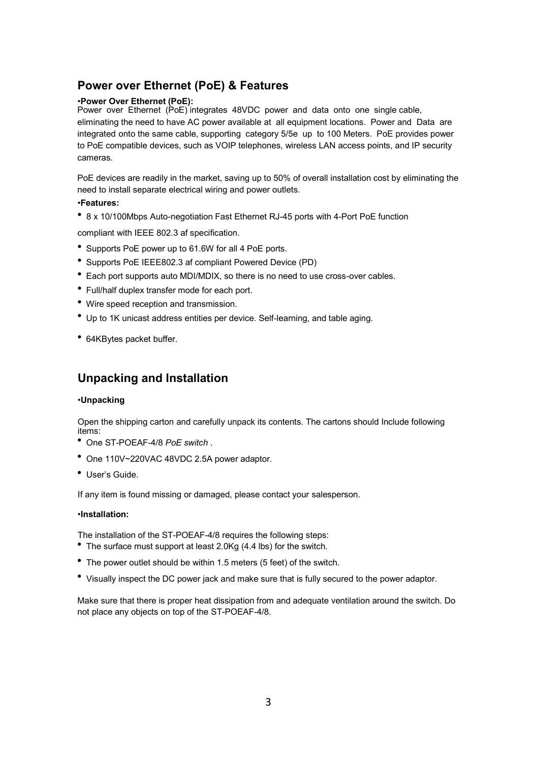## **Power over Ethernet (PoE) & Features**

## •**Power Over Ethernet (PoE):**

Power over Ethernet (PoE) integrates 48VDC power and data onto one single cable, eliminating the need to have AC power available at all equipment locations. Power and Data are integrated onto the same cable, supporting category 5/5e up to 100 Meters. PoE provides power to PoE compatible devices, such as VOIP telephones, wireless LAN access points, and IP security cameras.

PoE devices are readily in the market, saving up to 50% of overall installation cost by eliminating the need to install separate electrical wiring and power outlets.

## •**Features:**

8 x 10/100Mbps Auto-negotiation Fast Ethernet RJ-45 ports with 4-Port PoE function

compliant with IEEE 802.3 af specification.

- Supports PoE power up to 61.6W for all 4 PoE ports.
- Supports PoE IEEE802.3 af compliant Powered Device (PD)
- Each port supports auto MDI/MDIX, so there is no need to use cross-over cables.
- Full/half duplex transfer mode for each port.
- Wire speed reception and transmission.
- Up to 1K unicast address entities per device. Self-learning, and table aging.
- 64KBytes packet buffer.

## **Unpacking and Installation**

## •**Unpacking**

Open the shipping carton and carefully unpack its contents. The cartons should Include following items:

- One ST-POEAF-4/8 *PoE switch* .
- One 110V~220VAC 48VDC 2.5A power adaptor.
- User's Guide.

If any item is found missing or damaged, please contact your salesperson.

## •**Installation:**

The installation of the ST-POEAF-4/8 requires the following steps:

- The surface must support at least 2.0Kg (4.4 lbs) for the switch.
- The power outlet should be within 1.5 meters (5 feet) of the switch.
- Visually inspect the DC power jack and make sure that is fully secured to the power adaptor.

Make sure that there is proper heat dissipation from and adequate ventilation around the switch. Do not place any objects on top of the ST-POEAF-4/8.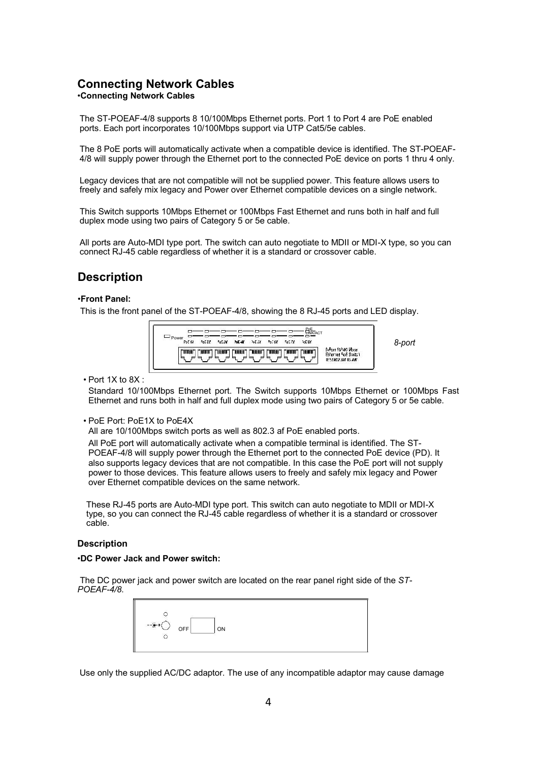## **Connecting Network Cables** •**Connecting Network Cables**

The ST-POEAF-4/8 supports 8 10/100Mbps Ethernet ports. Port 1 to Port 4 are PoE enabled ports. Each port incorporates 10/100Mbps support via UTP Cat5/5e cables.

The 8 PoE ports will automatically activate when a compatible device is identified. The ST-POEAF-4/8 will supply power through the Ethernet port to the connected PoE device on ports 1 thru 4 only.

Legacy devices that are not compatible will not be supplied power. This feature allows users to freely and safely mix legacy and Power over Ethernet compatible devices on a single network.

This Switch supports 10Mbps Ethernet or 100Mbps Fast Ethernet and runs both in half and full duplex mode using two pairs of Category 5 or 5e cable.

All ports are Auto-MDI type port. The switch can auto negotiate to MDII or MDI-X type, so you can connect RJ-45 cable regardless of whether it is a standard or crossover cable.

## **Description**

### •**Front Panel:**

This is the front panel of the ST-POEAF-4/8, showing the 8 RJ-45 ports and LED display.



• Port 1X to 8X :

Standard 10/100Mbps Ethernet port. The Switch supports 10Mbps Ethernet or 100Mbps Fast Ethernet and runs both in half and full duplex mode using two pairs of Category 5 or 5e cable.

• PoE Port: PoE1X to PoE4X

All are 10/100Mbps switch ports as well as 802.3 af PoE enabled ports.

All PoE port will automatically activate when a compatible terminal is identified. The ST-POEAF-4/8 will supply power through the Ethernet port to the connected PoE device (PD). It also supports legacy devices that are not compatible. In this case the PoE port will not supply power to those devices. This feature allows users to freely and safely mix legacy and Power over Ethernet compatible devices on the same network.

These RJ-45 ports are Auto-MDI type port. This switch can auto negotiate to MDII or MDI-X type, so you can connect the RJ-45 cable regardless of whether it is a standard or crossover cable.

## **Description**

#### •**DC Power Jack and Power switch:**

The DC power jack and power switch are located on the rear panel right side of the *ST-POEAF-4/8*.

| OFF<br>ON<br>$\sim$ |
|---------------------|
|---------------------|

Use only the supplied AC/DC adaptor. The use of any incompatible adaptor may cause damage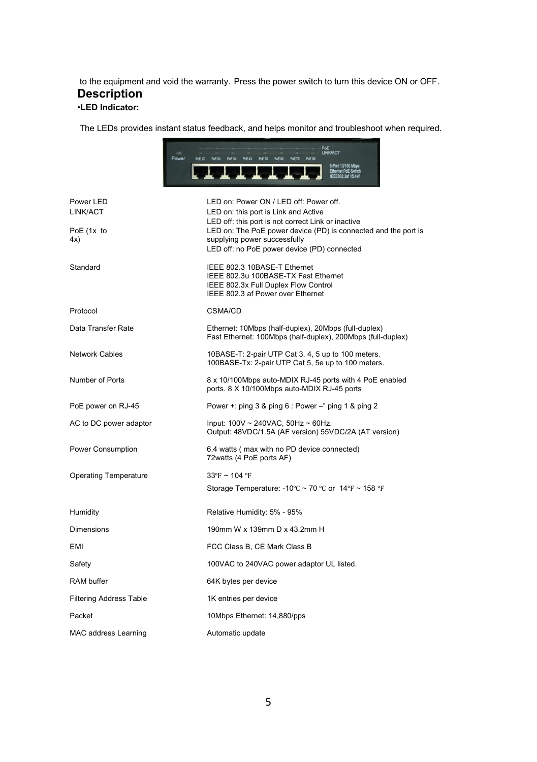to the equipment and void the warranty. Press the power switch to turn this device ON or OFF. **Description**

## •**LED Indicator:**

The LEDs provides instant status feedback, and helps monitor and troubleshoot when required.

|                                | POE<br>LINK/ACT<br>Power<br>PoE 3X<br>PoE-4X<br>PoE 6X PoE 7X PoE 8X<br>PoE 1X<br>PoE 2X<br>PoE 5X<br>8-Port 10/100 Ml                            |
|--------------------------------|---------------------------------------------------------------------------------------------------------------------------------------------------|
| Power LED<br>LINK/ACT          | LED on: Power ON / LED off: Power off.<br>LED on: this port is Link and Active<br>LED off: this port is not correct Link or inactive              |
| PoE (1x to<br>4x)              | LED on: The PoE power device (PD) is connected and the port is<br>supplying power successfully<br>LED off: no PoE power device (PD) connected     |
| Standard                       | IEEE 802.3 10BASE-T Ethernet<br>IEEE 802.3u 100BASE-TX Fast Ethernet<br>IEEE 802.3x Full Duplex Flow Control<br>IEEE 802.3 af Power over Ethernet |
| Protocol                       | <b>CSMA/CD</b>                                                                                                                                    |
| Data Transfer Rate             | Ethernet: 10Mbps (half-duplex), 20Mbps (full-duplex)<br>Fast Ethernet: 100Mbps (half-duplex), 200Mbps (full-duplex)                               |
| <b>Network Cables</b>          | 10BASE-T: 2-pair UTP Cat 3, 4, 5 up to 100 meters.<br>100BASE-Tx: 2-pair UTP Cat 5, 5e up to 100 meters.                                          |
| Number of Ports                | 8 x 10/100Mbps auto-MDIX RJ-45 ports with 4 PoE enabled<br>ports. 8 X 10/100Mbps auto-MDIX RJ-45 ports                                            |
| PoE power on RJ-45             | Power +: ping 3 & ping 6 : Power -" ping 1 & ping 2                                                                                               |
| AC to DC power adaptor         | Input: $100V \sim 240VAC$ , $50Hz \sim 60Hz$ .<br>Output: 48VDC/1.5A (AF version) 55VDC/2A (AT version)                                           |
| Power Consumption              | 6.4 watts (max with no PD device connected)<br>72 watts (4 PoE ports AF)                                                                          |
| <b>Operating Temperature</b>   | $33^{\circ}$ F ~ 104 °F                                                                                                                           |
|                                | Storage Temperature: -10 $\degree$ C ~ 70 $\degree$ C or 14 $\degree$ F ~ 158 $\degree$ F                                                         |
| Humidity                       | Relative Humidity: 5% - 95%                                                                                                                       |
| Dimensions                     | 190mm W x 139mm D x 43.2mm H                                                                                                                      |
| EMI                            | FCC Class B, CE Mark Class B                                                                                                                      |
| Safety                         | 100VAC to 240VAC power adaptor UL listed.                                                                                                         |
| <b>RAM</b> buffer              | 64K bytes per device                                                                                                                              |
| <b>Filtering Address Table</b> | 1K entries per device                                                                                                                             |
| Packet                         | 10Mbps Ethernet: 14,880/pps                                                                                                                       |
| MAC address Learning           | Automatic update                                                                                                                                  |